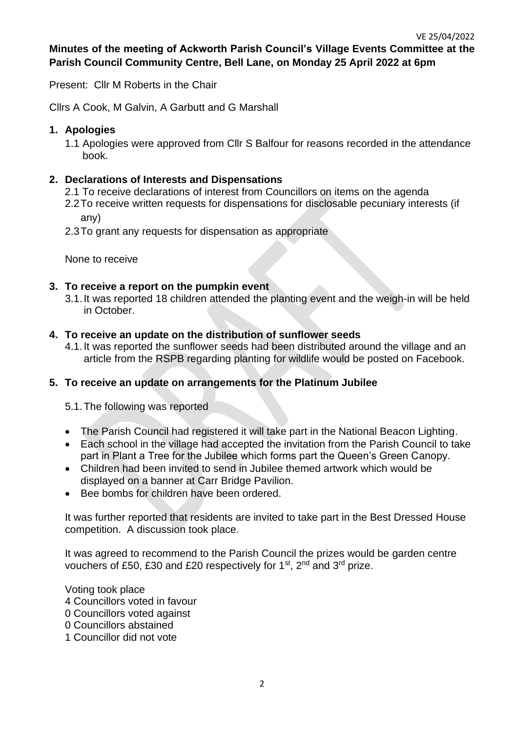# **Minutes of the meeting of Ackworth Parish Council's Village Events Committee at the Parish Council Community Centre, Bell Lane, on Monday 25 April 2022 at 6pm**

Present: Cllr M Roberts in the Chair

Cllrs A Cook, M Galvin, A Garbutt and G Marshall

## **1. Apologies**

1.1 Apologies were approved from Cllr S Balfour for reasons recorded in the attendance book.

## **2. Declarations of Interests and Dispensations**

- 2.1 To receive declarations of interest from Councillors on items on the agenda
- 2.2To receive written requests for dispensations for disclosable pecuniary interests (if any)
- 2.3To grant any requests for dispensation as appropriate

None to receive

## **3. To receive a report on the pumpkin event**

3.1.It was reported 18 children attended the planting event and the weigh-in will be held in October.

### **4. To receive an update on the distribution of sunflower seeds**

4.1.It was reported the sunflower seeds had been distributed around the village and an article from the RSPB regarding planting for wildlife would be posted on Facebook.

### **5. To receive an update on arrangements for the Platinum Jubilee**

5.1.The following was reported

- The Parish Council had registered it will take part in the National Beacon Lighting.
- Each school in the village had accepted the invitation from the Parish Council to take part in Plant a Tree for the Jubilee which forms part the Queen's Green Canopy.
- Children had been invited to send in Jubilee themed artwork which would be displayed on a banner at Carr Bridge Pavilion.
- Bee bombs for children have been ordered.

It was further reported that residents are invited to take part in the Best Dressed House competition. A discussion took place.

It was agreed to recommend to the Parish Council the prizes would be garden centre vouchers of £50, £30 and £20 respectively for  $1<sup>st</sup>$ ,  $2<sup>nd</sup>$  and  $3<sup>rd</sup>$  prize.

Voting took place 4 Councillors voted in favour 0 Councillors voted against 0 Councillors abstained

1 Councillor did not vote